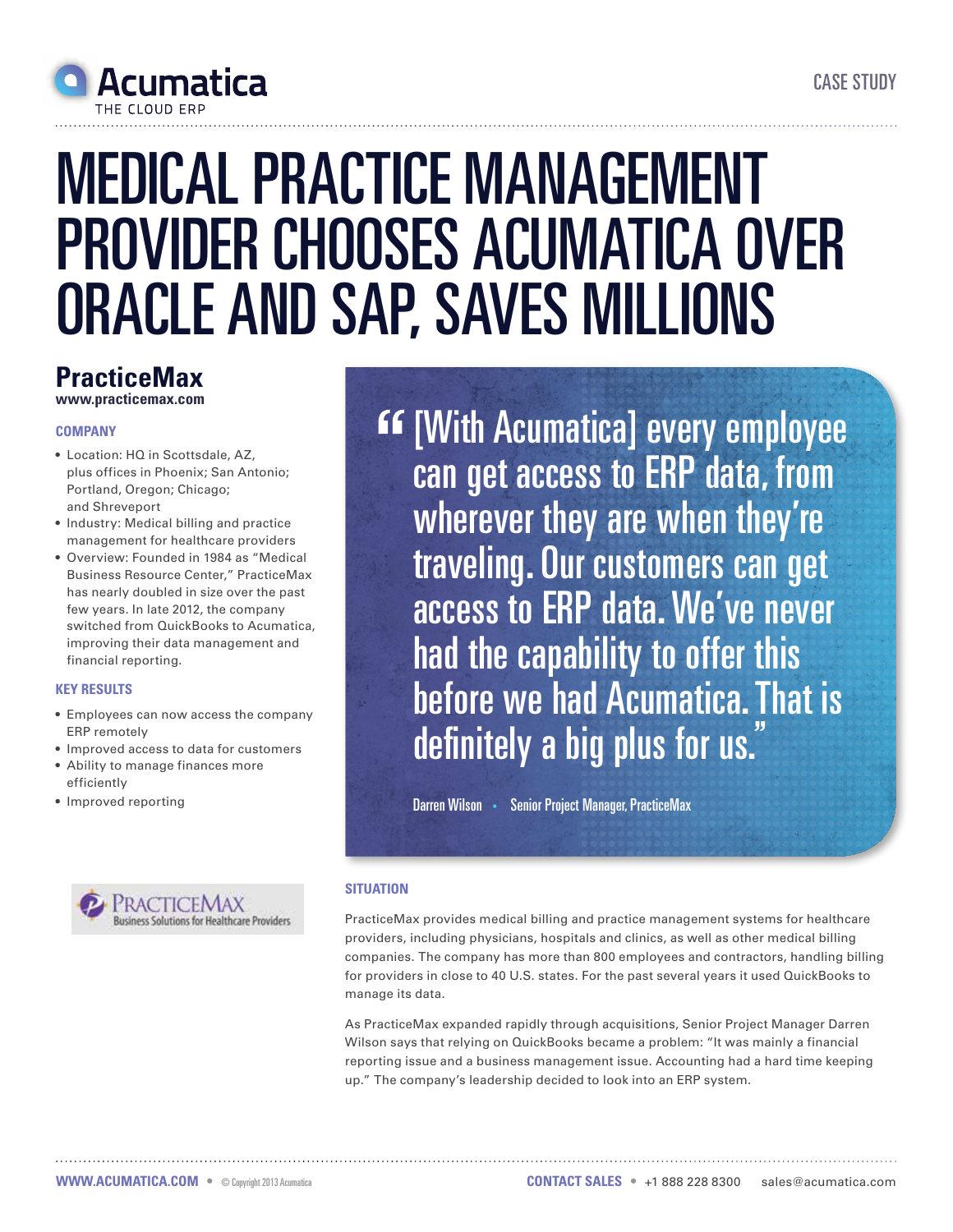

# medical practice management provider chooses acumatica over Oracle and SAP, saves millions

## **PracticeMax**

**www.practicemax.com**

#### **Company**

- • Location: HQ in Scottsdale, AZ, plus offices in Phoenix; San Antonio; Portland, Oregon; Chicago; and Shreveport
- Industry: Medical billing and practice management for healthcare providers
- • Overview: Founded in 1984 as "Medical Business Resource Center," PracticeMax has nearly doubled in size over the past few years. In late 2012, the company switched from QuickBooks to Acumatica, improving their data management and financial reporting.

#### **Key Results**

- • Employees can now access the company ERP remotely
- • Improved access to data for customers
- Ability to manage finances more efficiently
- Improved reporting



**EF [With Acumatica] every employee** can get access to ERP data, from wherever they are when they're traveling. Our customers can get access to ERP data. We've never had the capability to offer this before we had Acumatica. That is definitely a big plus for us.

Darren Wilson • Senior Project Manager, PracticeMax

### **SITUATION**

PracticeMax provides medical billing and practice management systems for healthcare providers, including physicians, hospitals and clinics, as well as other medical billing companies. The company has more than 800 employees and contractors, handling billing for providers in close to 40 U.S. states. For the past several years it used QuickBooks to manage its data.

As PracticeMax expanded rapidly through acquisitions, Senior Project Manager Darren Wilson says that relying on QuickBooks became a problem: "It was mainly a financial reporting issue and a business management issue. Accounting had a hard time keeping up." The company's leadership decided to look into an ERP system.